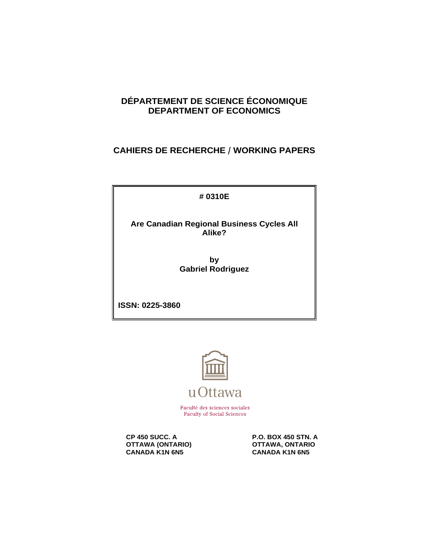## **DÉPARTEMENT DE SCIENCE ÉCONOMIQUE DEPARTMENT OF ECONOMICS**

## **CAHIERS DE RECHERCHE / WORKING PAPERS**

**# 0310E**

**Are Canadian Regional Business Cycles All Alike?**

> **by Gabriel Rodriguez**

**ISSN: 0225-3860**



Faculté des sciences sociales **Faculty of Social Sciences** 

**CP 450 SUCC. A** P.O. BOX 450 STN. A<br> **P.O. BOX 450 STN. A** OTTAWA, ONTARIO **OTTAWA (ONTARIO) CONTARION CANADA KIN 6NS**<br>CANADA K1N 6N5 CANADA K1N 6N5 **CANADA K1N 6N5**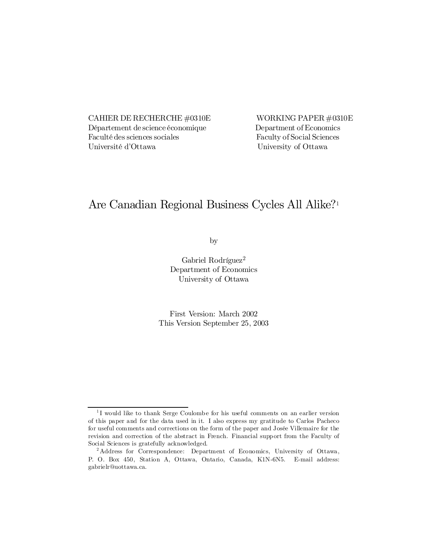CAHIER DE RECHERCHE  $\#0310E$  WORKING PAPER  $\#0310E$ Département de science économique Department of Economics Faculté des sciences sociales Faculty of Social Sciences Université d'Ottawa University of Ottawa

# Are Canadian Regional Business Cycles All Alike? 1

by

Gabriel Rodríguez 2 Department of Economics University of Ottawa

First Version: March 2002 This Version September 25, 2003

<sup>1</sup> I would like to thank Serge Coulombe for his useful comments on an earlier version of this paper and for the data used in it. I also express my gratitude to Carlos Pacheco for useful comments and corrections on the form of the paper and Josée Villemaire for the revision and correction of the abstract in French. Financial support from the Faculty of Social Sciences is gratefully acknowledged.

<sup>2</sup> Address for Correspondence: Department of Economics, University of Ottawa, P. O. Box 450, Station A, Ottawa, Ontario, Canada, K1N-6N5. E-mail address: gabrielr@uottawa.ca.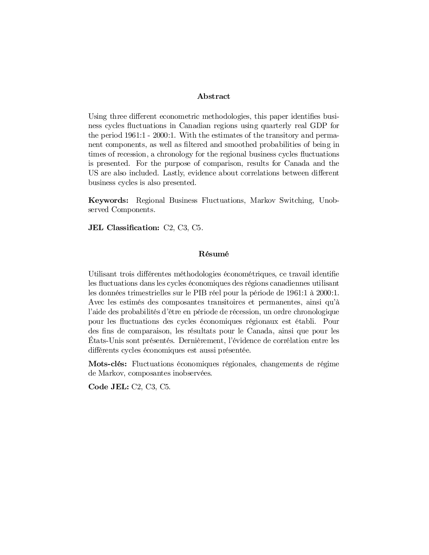#### Abstract

Using three different econometric methodologies, this paper identifies business cycles fluctuations in Canadian regions using quarterly real GDP for the period 1961:1 - 2000:1. With the estimates of the transitory and permanent components, as well as filtered and smoothed probabilities of being in times of recession, a chronology for the regional business cycles fluctuations is presented. For the purpose of comparison, results for Canada and the US are also included. Lastly, evidence about correlations between different business cycles is also presented.

Keywords: Regional Business Fluctuations, Markov Switching, Unobserved Components.

JEL Classification:  $C2$ ,  $C3$ ,  $C5$ .

### Résumé

Utilisant trois différentes méthodologies économétriques, ce travail identifie les fluctuations dans les cycles économiques des régions canadiennes utilisant les données trimestrielles sur le PIB réel pour la période de 1961:1 à 2000:1. Avec les estimés des composantes transitoires et permanentes, ainsi qu'à l'aide des probabilités d'être en période de récession, un ordre chronologique pour les ‡uctuations des cycles économiques régionaux est établi. Pour des fins de comparaison, les résultats pour le Canada, ainsi que pour les États-Unis sont présentés. Dernièrement, l'évidence de corrélation entre les différents cycles économiques est aussi présentée.

Mots-clés: Fluctuations économiques régionales, changements de régime de Markov, composantes inobservées.

Code JEL: C2, C3, C5.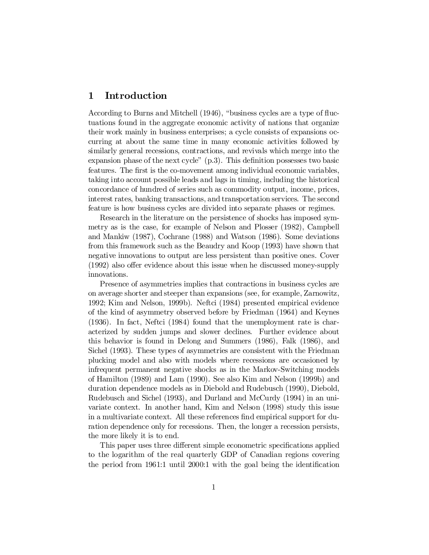## 1 Introduction

According to Burns and Mitchell (1946), "business cycles are a type of fluctuations found in the aggregate economic activity of nations that organize their work mainly in business enterprises; a cycle consists of expansions occurring at about the same time in many economic activities followed by similarly general recessions, contractions, and revivals which merge into the expansion phase of the next cycle"  $(p,3)$ . This definition possesses two basic features. The first is the co-movement among individual economic variables, taking into account possible leads and lags in timing, including the historical concordance of hundred of series such as commodity output, income, prices, interest rates, banking transactions, and transportation services. The second feature is how business cycles are divided into separate phases or regimes.

Research in the literature on the persistence of shocks has imposed symmetry as is the case, for example of Nelson and Plosser (1982), Campbell and Mankiw (1987), Cochrane (1988) and Watson (1986). Some deviations from this framework such as the Beaudry and Koop (1993) have shown that negative innovations to output are less persistent than positive ones. Cover  $(1992)$  also offer evidence about this issue when he discussed money-supply innovations.

Presence of asymmetries implies that contractions in business cycles are on average shorter and steeper than expansions (see, for example, Zarnowitz, 1992; Kim and Nelson, 1999b). Neftci (1984) presented empirical evidence of the kind of asymmetry observed before by Friedman (1964) and Keynes (1936). In fact, Neftci (1984) found that the unemployment rate is characterized by sudden jumps and slower declines. Further evidence about this behavior is found in Delong and Summers (1986), Falk (1986), and Sichel (1993). These types of asymmetries are consistent with the Friedman plucking model and also with models where recessions are occasioned by infrequent permanent negative shocks as in the Markov-Switching models of Hamilton (1989) and Lam (1990). See also Kim and Nelson (1999b) and duration dependence models as in Diebold and Rudebusch (1990), Diebold, Rudebusch and Sichel (1993), and Durland and McCurdy (1994) in an univariate context. In another hand, Kim and Nelson (1998) study this issue in a multivariate context. All these references find empirical support for duration dependence only for recessions. Then, the longer a recession persists, the more likely it is to end.

This paper uses three different simple econometric specifications applied to the logarithm of the real quarterly GDP of Canadian regions covering the period from  $1961:1$  until  $2000:1$  with the goal being the identification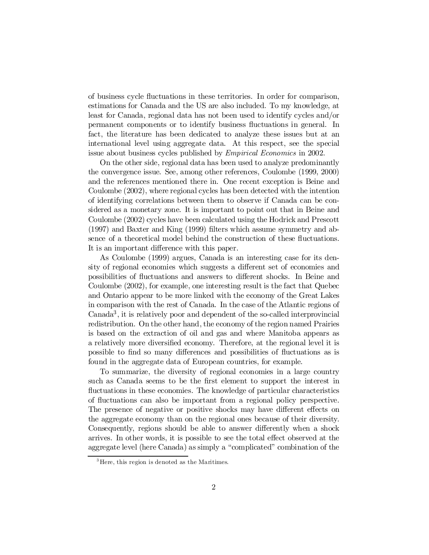of business cycle ‡uctuations in these territories. In order for comparison, estimations for Canada and the US are also included. To my knowledge, at least for Canada, regional data has not been used to identify cycles and/or permanent components or to identify business ‡uctuations in general. In fact, the literature has been dedicated to analyze these issues but at an international level using aggregate data. At this respect, see the special issue about business cycles published by Empirical Economics in 2002.

On the other side, regional data has been used to analyze predominantly the convergence issue. See, among other references, Coulombe (1999, 2000) and the references mentioned there in. One recent exception is Beine and Coulombe (2002), where regional cycles has been detected with the intention of identifying correlations between them to observe if Canada can be considered as a monetary zone. It is important to point out that in Beine and Coulombe (2002) cycles have been calculated using the Hodrick and Prescott  $(1997)$  and Baxter and King  $(1999)$  filters which assume symmetry and absence of a theoretical model behind the construction of these fluctuations. It is an important difference with this paper.

As Coulombe (1999) argues, Canada is an interesting case for its density of regional economies which suggests a different set of economies and possibilities of fluctuations and answers to different shocks. In Beine and Coulombe (2002), for example, one interesting result is the fact that Quebec and Ontario appear to be more linked with the economy of the Great Lakes in comparison with the rest of Canada. In the case of the Atlantic regions of Canada 3 , it is relatively poor and dependent of the so-called interprovincial redistribution. On the other hand, the economy of the region named Prairies is based on the extraction of oil and gas and where Manitoba appears as a relatively more diversified economy. Therefore, at the regional level it is possible to find so many differences and possibilities of fluctuations as is found in the aggregate data of European countries, for example.

To summarize, the diversity of regional economies in a large country such as Canada seems to be the first element to support the interest in fluctuations in these economies. The knowledge of particular characteristics of fluctuations can also be important from a regional policy perspective. The presence of negative or positive shocks may have different effects on the aggregate economy than on the regional ones because of their diversity. Consequently, regions should be able to answer differently when a shock arrives. In other words, it is possible to see the total effect observed at the aggregate level (here Canada) as simply a "complicated" combination of the

<sup>&</sup>lt;sup>3</sup>Here, this region is denoted as the Maritimes.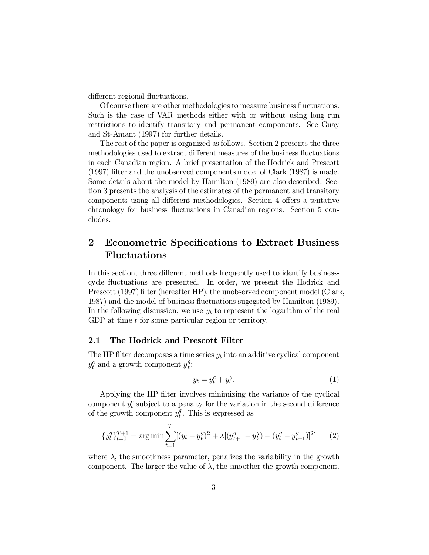different regional fluctuations.

Of course there are other methodologies to measure business fluctuations. Such is the case of VAR methods either with or without using long run restrictions to identify transitory and permanent components. See Guay and St-Amant (1997) for further details.

The rest of the paper is organized as follows. Section 2 presents the three methodologies used to extract different measures of the business fluctuations in each Canadian region. A brief presentation of the Hodrick and Prescott  $(1997)$  filter and the unobserved components model of Clark  $(1987)$  is made. Some details about the model by Hamilton (1989) are also described. Section 3 presents the analysis of the estimates of the permanent and transitory components using all different methodologies. Section 4 offers a tentative chronology for business ‡uctuations in Canadian regions. Section 5 concludes.

## 2 Econometric Specifications to Extract Business Fluctuations

In this section, three different methods frequently used to identify businesscycle fluctuations are presented. In order, we present the Hodrick and Prescott (1997) filter (hereafter HP), the unobserved component model (Clark, 1987) and the model of business fluctuations suggested by Hamilton (1989). In the following discussion, we use  $y_t$  to represent the logarithm of the real GDP at time t for some particular region or territory.

#### 2.1 The Hodrick and Prescott Filter

The HP filter decomposes a time series  $y_t$  into an additive cyclical component  $y_t^c$  and a growth component  $y_t^g$  $\frac{g}{t}$ :

$$
y_t = y_t^c + y_t^g. \tag{1}
$$

Applying the HP filter involves minimizing the variance of the cyclical component  $y_t^c$  subject to a penalty for the variation in the second difference of the growth component  $y_t^g$  $t<sup>g</sup>$ . This is expressed as

$$
\{y_t^g\}_{t=0}^{T+1} = \arg\min \sum_{t=1}^T \left[ (y_t - y_t^g)^2 + \lambda \left[ (y_{t+1}^g - y_t^g) - (y_t^g - y_{t-1}^g) \right]^2 \right] \tag{2}
$$

where  $\lambda$ , the smoothness parameter, penalizes the variability in the growth component. The larger the value of  $\lambda$ , the smoother the growth component.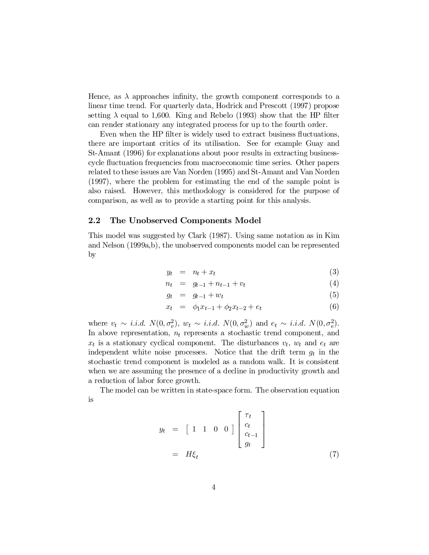Hence, as  $\lambda$  approaches infinity, the growth component corresponds to a linear time trend. For quarterly data, Hodrick and Prescott (1997) propose setting  $\lambda$  equal to 1,600. King and Rebelo (1993) show that the HP filter can render stationary any integrated process for up to the fourth order.

Even when the HP filter is widely used to extract business fluctuations, there are important critics of its utilisation. See for example Guay and St-Amant (1996) for explanations about poor results in extracting businesscycle fluctuation frequencies from macroeconomic time series. Other papers related to these issues are Van Norden (1995) and St-Amant and Van Norden (1997), where the problem for estimating the end of the sample point is also raised. However, this methodology is considered for the purpose of comparison, as well as to provide a starting point for this analysis.

#### 2.2 The Unobserved Components Model

This model was suggested by Clark (1987). Using same notation as in Kim and Nelson (1999a,b), the unobserved components model can be represented by

$$
y_t = n_t + x_t \tag{3}
$$

$$
n_t = g_{t-1} + n_{t-1} + v_t \tag{4}
$$

$$
g_t = g_{t-1} + w_t \tag{5}
$$

$$
x_t = \phi_1 x_{t-1} + \phi_2 x_{t-2} + e_t \tag{6}
$$

where  $v_t \sim i.i.d. N(0, \sigma_v^2)$ ,  $w_t \sim i.i.d. N(0, \sigma_w^2)$  and  $e_t \sim i.i.d. N(0, \sigma_e^2)$ . In above representation,  $n_t$  represents a stochastic trend component, and  $x_t$  is a stationary cyclical component. The disturbances  $v_t$ ,  $w_t$  and  $e_t$  are independent white noise processes. Notice that the drift term  $g_t$  in the stochastic trend component is modeled as a random walk. It is consistent when we are assuming the presence of a decline in productivity growth and a reduction of labor force growth.

The model can be written in state-space form. The observation equation is

$$
y_t = \begin{bmatrix} 1 & 1 & 0 & 0 \end{bmatrix} \begin{bmatrix} \tau_t \\ c_t \\ c_{t-1} \\ g_t \end{bmatrix}
$$

$$
= H\xi_t \tag{7}
$$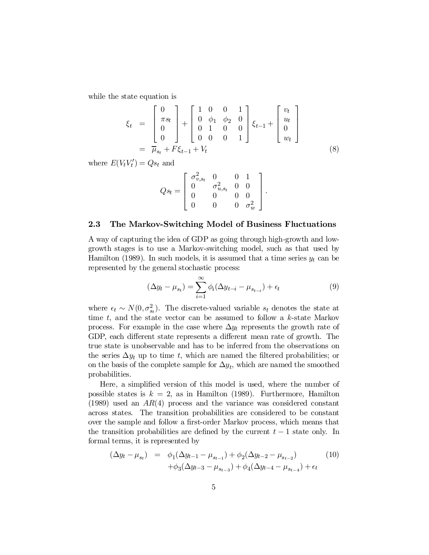while the state equation is

$$
\xi_t = \begin{bmatrix} 0 \\ \pi s_t \\ 0 \\ 0 \end{bmatrix} + \begin{bmatrix} 1 & 0 & 0 & 1 \\ 0 & \phi_1 & \phi_2 & 0 \\ 0 & 1 & 0 & 0 \\ 0 & 0 & 0 & 1 \end{bmatrix} \xi_{t-1} + \begin{bmatrix} v_t \\ u_t \\ 0 \\ w_t \end{bmatrix}
$$
\n
$$
= \overline{\mu}_{s_t} + F \xi_{t-1} + V_t
$$
\n(8)

where  $E(V_t V_t') = Qs_t$  and

$$
Qs_t = \left[ \begin{array}{cccc} \sigma_{v,s_t}^2 & 0 & 0 & 1 \\ 0 & \sigma_{u,s_t}^2 & 0 & 0 \\ 0 & 0 & 0 & 0 \\ 0 & 0 & 0 & \sigma_w^2 \end{array} \right]
$$

#### 2.3 The Markov-Switching Model of Business Fluctuations

A way of capturing the idea of GDP as going through high-growth and lowgrowth stages is to use a Markov-switching model, such as that used by Hamilton (1989). In such models, it is assumed that a time series  $y_t$  can be represented by the general stochastic process:

$$
(\Delta y_t - \mu_{s_t}) = \sum_{i=1}^{\infty} \phi_i (\Delta y_{t-i} - \mu_{s_{t-i}}) + \epsilon_t
$$
\n(9)

:

where  $\epsilon_t \sim N(0, \sigma_{st}^2)$ . The discrete-valued variable  $s_t$  denotes the state at time  $t$ , and the state vector can be assumed to follow a  $k$ -state Markov process. For example in the case where  $\Delta y_t$  represents the growth rate of GDP, each different state represents a different mean rate of growth. The true state is unobservable and has to be inferred from the observations on the series  $\Delta y_t$  up to time t, which are named the filtered probabilities; or on the basis of the complete sample for  $\Delta y_t$ , which are named the smoothed probabilities.

Here, a simplified version of this model is used, where the number of possible states is  $k = 2$ , as in Hamilton (1989). Furthermore, Hamilton  $(1989)$  used an  $AR(4)$  process and the variance was considered constant across states. The transition probabilities are considered to be constant over the sample and follow a first-order Markov process, which means that the transition probabilities are defined by the current  $t - 1$  state only. In formal terms, it is represented by

$$
(\Delta y_t - \mu_{s_t}) = \phi_1(\Delta y_{t-1} - \mu_{s_{t-1}}) + \phi_2(\Delta y_{t-2} - \mu_{s_{t-2}}) + \phi_3(\Delta y_{t-3} - \mu_{s_{t-3}}) + \phi_4(\Delta y_{t-4} - \mu_{s_{t-4}}) + \epsilon_t
$$
(10)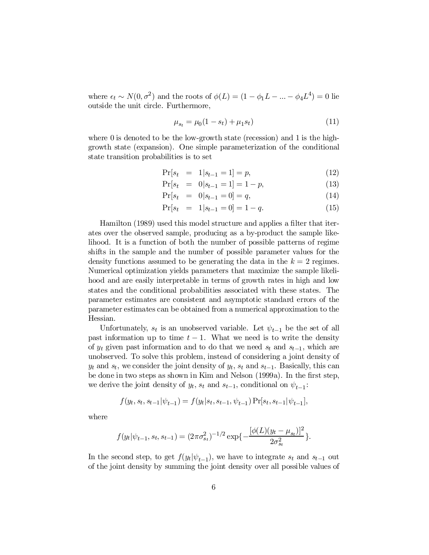where  $\epsilon_t \sim N(0, \sigma^2)$  and the roots of  $\phi(L) = (1 - \phi_1 L - ... - \phi_4 L^4) = 0$  lie outside the unit circle. Furthermore,

$$
\mu_{s_t} = \mu_0 (1 - s_t) + \mu_1 s_t)
$$
\n(11)

where 0 is denoted to be the low-growth state (recession) and 1 is the highgrowth state (expansion). One simple parameterization of the conditional state transition probabilities is to set

$$
\Pr[s_t = 1 | s_{t-1} = 1] = p,\tag{12}
$$

$$
\Pr[s_t = 0 | s_{t-1} = 1] = 1 - p,\tag{13}
$$

$$
\Pr[s_t = 0 | s_{t-1} = 0] = q,\tag{14}
$$

$$
\Pr[s_t = 1 | s_{t-1} = 0] = 1 - q. \tag{15}
$$

Hamilton (1989) used this model structure and applies a filter that iterates over the observed sample, producing as a by-product the sample likelihood. It is a function of both the number of possible patterns of regime shifts in the sample and the number of possible parameter values for the density functions assumed to be generating the data in the  $k = 2$  regimes. Numerical optimization yields parameters that maximize the sample likelihood and are easily interpretable in terms of growth rates in high and low states and the conditional probabilities associated with these states. The parameter estimates are consistent and asymptotic standard errors of the parameter estimates can be obtained from a numerical approximation to the Hessian.

Unfortunately,  $s_t$  is an unobserved variable. Let  $\psi_{t-1}$  be the set of all past information up to time  $t - 1$ . What we need is to write the density of  $y_t$  given past information and to do that we need  $s_t$  and  $s_{t-1}$ , which are unobserved. To solve this problem, instead of considering a joint density of  $y_t$  and  $s_t$ , we consider the joint density of  $y_t$ ,  $s_t$  and  $s_{t-1}$ . Basically, this can be done in two steps as shown in Kim and Nelson (1999a). In the first step, we derive the joint density of  $y_t$ ,  $s_t$  and  $s_{t-1}$ , conditional on  $\psi_{t-1}$ :

$$
f(y_t, s_t, s_{t-1}|\psi_{t-1}) = f(y_t|s_t, s_{t-1}, \psi_{t-1}) \Pr[s_t, s_{t-1}|\psi_{t-1}],
$$

where

$$
f(y_t|\psi_{t-1}, s_t, s_{t-1}) = (2\pi\sigma_{s_t}^2)^{-1/2} \exp\{-\frac{[\phi(L)(y_t - \mu_{s_t})]^2}{2\sigma_{s_t}^2}\}.
$$

In the second step, to get  $f(y_t|\psi_{t-1})$ , we have to integrate  $s_t$  and  $s_{t-1}$  out of the joint density by summing the joint density over all possible values of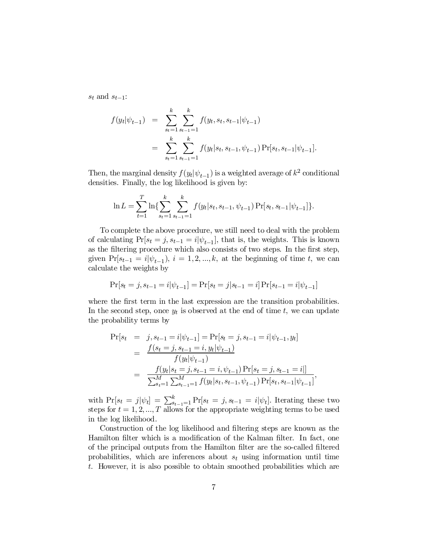$s_t$  and  $s_{t-1}$ :

$$
f(y_t|\psi_{t-1}) = \sum_{s_t=1}^k \sum_{s_{t-1}=1}^k f(y_t, s_t, s_{t-1}|\psi_{t-1})
$$
  
= 
$$
\sum_{s_t=1}^k \sum_{s_{t-1}=1}^k f(y_t|s_t, s_{t-1}, \psi_{t-1}) \Pr[s_t, s_{t-1}|\psi_{t-1}].
$$

Then, the marginal density  $f(y_t|\psi_{t-1})$  is a weighted average of  $k^2$  conditional densities. Finally, the log likelihood is given by:

$$
\ln L = \sum_{t=1}^{T} \ln \{ \sum_{s_t=1}^{k} \sum_{s_{t-1}=1}^{k} f(y_t | s_t, s_{t-1}, \psi_{t-1}) \Pr[s_t, s_{t-1} | \psi_{t-1}] \}.
$$

To complete the above procedure, we still need to deal with the problem of calculating  $Pr[s_t = j, s_{t-1} = i | \psi_{t-1}]$ , that is, the weights. This is known as the filtering procedure which also consists of two steps. In the first step, given  $Pr[s_{t-1} = i | \psi_{t-1}), i = 1, 2, ..., k$ , at the beginning of time t, we can calculate the weights by

$$
Pr[s_t = j, s_{t-1} = i | \psi_{t-1}] = Pr[s_t = j | s_{t-1} = i] Pr[s_{t-1} = i | \psi_{t-1}]
$$

where the first term in the last expression are the transition probabilities. In the second step, once  $y_t$  is observed at the end of time t, we can update the probability terms by

$$
\Pr[s_t = j, s_{t-1} = i | \psi_{t-1}] = \Pr[s_t = j, s_{t-1} = i | \psi_{t-1}, y_t]
$$
  
= 
$$
\frac{f(s_t = j, s_{t-1} = i, y_t | \psi_{t-1})}{f(y_t | \psi_{t-1})}
$$
  
= 
$$
\frac{f(y_t | s_t = j, s_{t-1} = i, \psi_{t-1}) \Pr[s_t = j, s_{t-1} = i]]}{\sum_{s_t=1}^M \sum_{s_{t-1} = 1}^M f(y_t | s_t, s_{t-1}, \psi_{t-1}) \Pr[s_t, s_{t-1} | \psi_{t-1}]},
$$

with  $\Pr[s_t = j | \psi_t] = \sum_{s=t-1}^{k} \Pr[s_t = j, s_{t-1} = i | \psi_t].$  Iterating these two steps for  $t = 1, 2, ..., T$  allows for the appropriate weighting terms to be used in the log likelihood.

Construction of the log likelihood and filtering steps are known as the Hamilton filter which is a modification of the Kalman filter. In fact, one of the principal outputs from the Hamilton filter are the so-called filtered probabilities, which are inferences about  $s_t$  using information until time t. However, it is also possible to obtain smoothed probabilities which are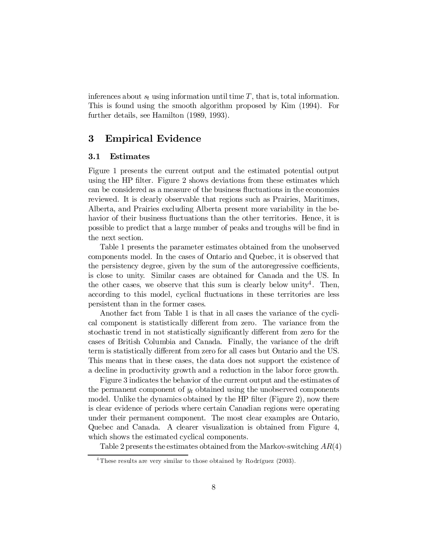inferences about  $s_t$  using information until time  $T$ , that is, total information. This is found using the smooth algorithm proposed by Kim (1994). For further details, see Hamilton (1989, 1993).

## 3 Empirical Evidence

#### 3.1 Estimates

Figure 1 presents the current output and the estimated potential output using the HP filter. Figure 2 shows deviations from these estimates which can be considered as a measure of the business fluctuations in the economies reviewed. It is clearly observable that regions such as Prairies, Maritimes, Alberta, and Prairies excluding Alberta present more variability in the behavior of their business fluctuations than the other territories. Hence, it is possible to predict that a large number of peaks and troughs will be find in the next section.

Table 1 presents the parameter estimates obtained from the unobserved components model. In the cases of Ontario and Quebec, it is observed that the persistency degree, given by the sum of the autoregressive coefficients, is close to unity. Similar cases are obtained for Canada and the US. In the other cases, we observe that this sum is clearly below unity<sup>4</sup>. Then, according to this model, cyclical ‡uctuations in these territories are less persistent than in the former cases.

Another fact from Table 1 is that in all cases the variance of the cyclical component is statistically different from zero. The variance from the stochastic trend in not statistically significantly different from zero for the cases of British Columbia and Canada. Finally, the variance of the drift term is statistically different from zero for all cases but Ontario and the US. This means that in these cases, the data does not support the existence of a decline in productivity growth and a reduction in the labor force growth.

Figure 3 indicates the behavior of the current output and the estimates of the permanent component of  $y_t$  obtained using the unobserved components model. Unlike the dynamics obtained by the HP filter (Figure 2), now there is clear evidence of periods where certain Canadian regions were operating under their permanent component. The most clear examples are Ontario, Quebec and Canada. A clearer visualization is obtained from Figure 4, which shows the estimated cyclical components.

Table 2 presents the estimates obtained from the Markov-switching  $AR(4)$ 

<sup>&</sup>lt;sup>4</sup> These results are very similar to those obtained by Rodríguez (2003).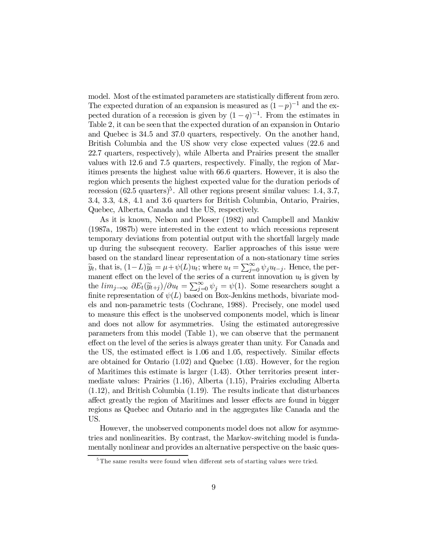model. Most of the estimated parameters are statistically different from zero. The expected duration of an expansion is measured as  $(1-p)^{-1}$  and the expected duration of a recession is given by  $(1-q)^{-1}$ . From the estimates in Table 2, it can be seen that the expected duration of an expansion in Ontario and Quebec is 34.5 and 37.0 quarters, respectively. On the another hand, British Columbia and the US show very close expected values (22.6 and 22.7 quarters, respectively), while Alberta and Prairies present the smaller values with 12.6 and 7.5 quarters, respectively. Finally, the region of Maritimes presents the highest value with 66.6 quarters. However, it is also the region which presents the highest expected value for the duration periods of recession (62.5 quarters)<sup>5</sup>. All other regions present similar values: 1.4, 3.7, 3.4, 3.3, 4.8, 4.1 and 3.6 quarters for British Columbia, Ontario, Prairies, Quebec, Alberta, Canada and the US, respectively.

As it is known, Nelson and Plosser (1982) and Campbell and Mankiw (1987a, 1987b) were interested in the extent to which recessions represent temporary deviations from potential output with the shortfall largely made up during the subsequent recovery. Earlier approaches of this issue were based on the standard linear representation of a non-stationary time series  $\widetilde{y}_t$ , that is,  $(1-L)\widetilde{y}_t = \mu + \psi(L)u_t$ ; where  $u_t = \sum_{j=0}^{\infty} \psi_j u_{t-j}$ . Hence, the permanent effect on the level of the series of a current innovation  $u_t$  is given by the  $\lim_{j\to\infty} \frac{\partial E_t(\widetilde{y}_{t+j})}{\partial u_t} = \sum_{j=0}^{\infty} \psi_j = \psi(1)$ . Some researchers sought a finite representation of  $\psi(L)$  based on Box-Jenkins methods, bivariate models and non-parametric tests (Cochrane, 1988). Precisely, one model used to measure this effect is the unobserved components model, which is linear and does not allow for asymmetries. Using the estimated autoregressive parameters from this model (Table 1), we can observe that the permanent effect on the level of the series is always greater than unity. For Canada and the US, the estimated effect is 1.06 and 1.05, respectively. Similar effects are obtained for Ontario (1.02) and Quebec (1.03). However, for the region of Maritimes this estimate is larger (1.43). Other territories present intermediate values: Prairies (1.16), Alberta (1.15), Prairies excluding Alberta (1.12), and British Columbia (1.19). The results indicate that disturbances affect greatly the region of Maritimes and lesser effects are found in bigger regions as Quebec and Ontario and in the aggregates like Canada and the US.

However, the unobserved components model does not allow for asymmetries and nonlinearities. By contrast, the Markov-switching model is fundamentally nonlinear and provides an alternative perspective on the basic ques-

 $5$ The same results were found when different sets of starting values were tried.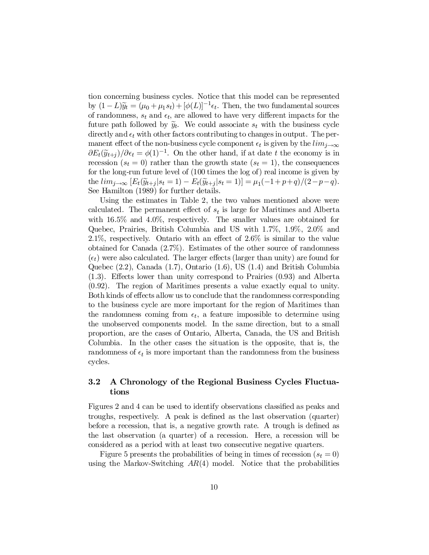tion concerning business cycles. Notice that this model can be represented by  $(1-L)\widetilde{y}_t = (\mu_0 + \mu_1 s_t) + [\phi(L)]^{-1} \epsilon_t$ . Then, the two fundamental sources of randomness,  $s_t$  and  $\epsilon_t$ , are allowed to have very different impacts for the future path followed by  $\tilde{y}_t$ . We could associate  $s_t$  with the business cycle directly and  $\epsilon_t$  with other factors contributing to changes in output. The permanent effect of the non-business cycle component  $\epsilon_t$  is given by the  $\lim_{i\to\infty}$  $\partial E_t(\widetilde{y}_{t+j})/\partial \epsilon_t = \phi(1)^{-1}$ . On the other hand, if at date t the economy is in recession  $(s_t = 0)$  rather than the growth state  $(s_t = 1)$ , the consequences for the long-run future level of (100 times the log of) real income is given by the  $\lim_{j \to \infty} [E_t(\widetilde{y}_{t+j} | s_t = 1) - E_t(\widetilde{y}_{t+j} | s_t = 1)] = \mu_1(-1 + p + q)/(2 - p - q).$ See Hamilton (1989) for further details.

Using the estimates in Table 2, the two values mentioned above were calculated. The permanent effect of  $s_t$  is large for Maritimes and Alberta with 16.5% and 4.0%, respectively. The smaller values are obtained for Quebec, Prairies, British Columbia and US with 1.7%, 1.9%, 2.0% and 2.1%, respectively. Ontario with an effect of  $2.6\%$  is similar to the value obtained for Canada (2.7%). Estimates of the other source of randomness  $(\epsilon_t)$  were also calculated. The larger effects (larger than unity) are found for Quebec (2.2), Canada (1.7), Ontario (1.6), US (1.4) and British Columbia  $(1.3)$ . Effects lower than unity correspond to Prairies  $(0.93)$  and Alberta (0.92). The region of Maritimes presents a value exactly equal to unity. Both kinds of effects allow us to conclude that the randomness corresponding to the business cycle are more important for the region of Maritimes than the randomness coming from  $\epsilon_t$ , a feature impossible to determine using the unobserved components model. In the same direction, but to a small proportion, are the cases of Ontario, Alberta, Canada, the US and British Columbia. In the other cases the situation is the opposite, that is, the randomness of  $\epsilon_t$  is more important than the randomness from the business cycles.

### 3.2 A Chronology of the Regional Business Cycles Fluctuations

Figures 2 and 4 can be used to identify observations classified as peaks and troughs, respectively. A peak is defined as the last observation (quarter) before a recession, that is, a negative growth rate. A trough is defined as the last observation (a quarter) of a recession. Here, a recession will be considered as a period with at least two consecutive negative quarters.

Figure 5 presents the probabilities of being in times of recession  $(s_t = 0)$ using the Markov-Switching  $AR(4)$  model. Notice that the probabilities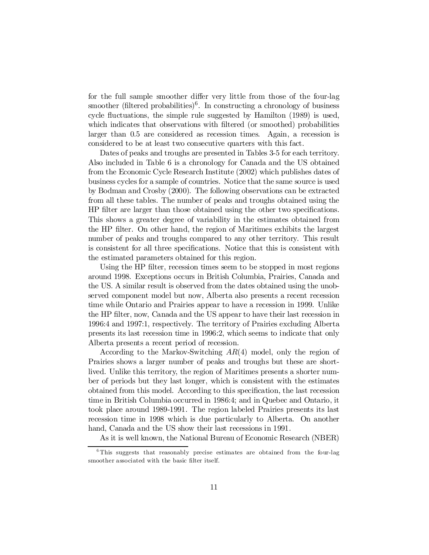for the full sample smoother differ very little from those of the four-lag smoother (filtered probabilities)<sup>6</sup>. In constructing a chronology of business cycle fluctuations, the simple rule suggested by Hamilton (1989) is used, which indicates that observations with filtered (or smoothed) probabilities larger than 0.5 are considered as recession times. Again, a recession is considered to be at least two consecutive quarters with this fact.

Dates of peaks and troughs are presented in Tables 3-5 for each territory. Also included in Table 6 is a chronology for Canada and the US obtained from the Economic Cycle Research Institute (2002) which publishes dates of business cycles for a sample of countries. Notice that the same source is used by Bodman and Crosby (2000). The following observations can be extracted from all these tables. The number of peaks and troughs obtained using the HP filter are larger than those obtained using the other two specifications. This shows a greater degree of variability in the estimates obtained from the HP filter. On other hand, the region of Maritimes exhibits the largest number of peaks and troughs compared to any other territory. This result is consistent for all three specifications. Notice that this is consistent with the estimated parameters obtained for this region.

Using the HP filter, recession times seem to be stopped in most regions around 1998. Exceptions occurs in British Columbia, Prairies, Canada and the US. A similar result is observed from the dates obtained using the unobserved component model but now, Alberta also presents a recent recession time while Ontario and Prairies appear to have a recession in 1999. Unlike the HP filter, now, Canada and the US appear to have their last recession in 1996:4 and 1997:1, respectively. The territory of Prairies excluding Alberta presents its last recession time in 1996:2, which seems to indicate that only Alberta presents a recent period of recession.

According to the Markov-Switching  $AR(4)$  model, only the region of Prairies shows a larger number of peaks and troughs but these are shortlived. Unlike this territory, the region of Maritimes presents a shorter number of periods but they last longer, which is consistent with the estimates obtained from this model. According to this specification, the last recession time in British Columbia occurred in 1986:4; and in Quebec and Ontario, it took place around 1989-1991. The region labeled Prairies presents its last recession time in 1998 which is due particularly to Alberta. On another hand, Canada and the US show their last recessions in 1991.

As it is well known, the National Bureau of Economic Research (NBER)

<sup>&</sup>lt;sup>6</sup>This suggests that reasonably precise estimates are obtained from the four-lag smoother associated with the basic filter itself.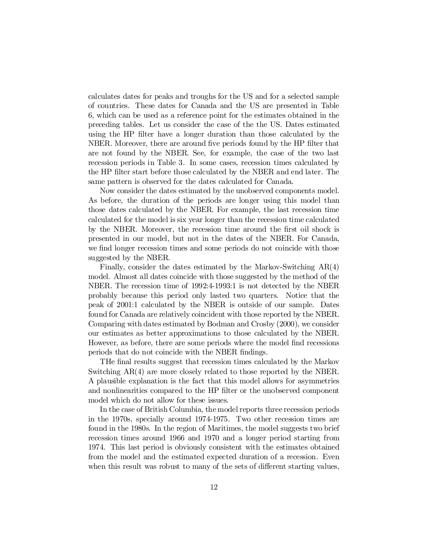calculates dates for peaks and troughs for the US and for a selected sample of countries. These dates for Canada and the US are presented in Table 6, which can be used as a reference point for the estimates obtained in the preceding tables. Let us consider the case of the the US. Dates estimated using the HP filter have a longer duration than those calculated by the NBER. Moreover, there are around five periods found by the HP filter that are not found by the NBER. See, for example, the case of the two last recession periods in Table 3. In some cases, recession times calculated by the HP filter start before those calculated by the NBER and end later. The same pattern is observed for the dates calculated for Canada.

Now consider the dates estimated by the unobserved components model. As before, the duration of the periods are longer using this model than those dates calculated by the NBER. For example, the last recession time calculated for the model is six year longer than the recession time calculated by the NBER. Moreover, the recession time around the first oil shock is presented in our model, but not in the dates of the NBER. For Canada, we find longer recession times and some periods do not coincide with those suggested by the NBER.

Finally, consider the dates estimated by the Markov-Switching AR(4) model. Almost all dates coincide with those suggested by the method of the NBER. The recession time of 1992:4-1993:1 is not detected by the NBER probably because this period only lasted two quarters. Notice that the peak of 2001:1 calculated by the NBER is outside of our sample. Dates found for Canada are relatively coincident with those reported by the NBER. Comparing with dates estimated by Bodman and Crosby (2000), we consider our estimates as better approximations to those calculated by the NBER. However, as before, there are some periods where the model find recessions periods that do not coincide with the NBER findings.

THe final results suggest that recession times calculated by the Markov Switching AR(4) are more closely related to those reported by the NBER. A plausible explanation is the fact that this model allows for asymmetries and nonlinearities compared to the HP filter or the unobserved component model which do not allow for these issues.

In the case of British Columbia, the model reports three recession periods in the 1970s, specially around 1974-1975. Two other recession times are found in the 1980s. In the region of Maritimes, the model suggests two brief recession times around 1966 and 1970 and a longer period starting from 1974. This last period is obviously consistent with the estimates obtained from the model and the estimated expected duration of a recession. Even when this result was robust to many of the sets of different starting values,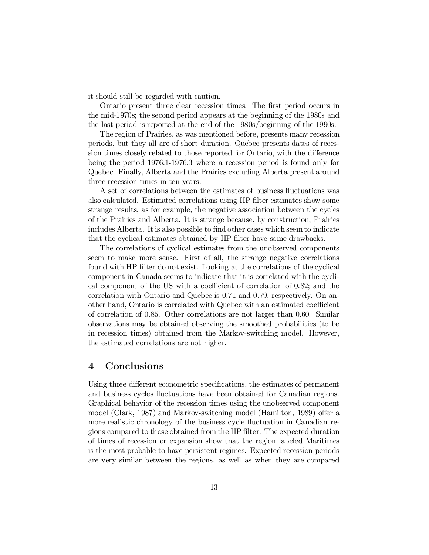it should still be regarded with caution.

Ontario present three clear recession times. The first period occurs in the mid-1970s; the second period appears at the beginning of the 1980s and the last period is reported at the end of the 1980s/beginning of the 1990s.

The region of Prairies, as was mentioned before, presents many recession periods, but they all are of short duration. Quebec presents dates of recession times closely related to those reported for Ontario, with the difference being the period 1976:1-1976:3 where a recession period is found only for Quebec. Finally, Alberta and the Prairies excluding Alberta present around three recession times in ten years.

A set of correlations between the estimates of business fluctuations was also calculated. Estimated correlations using HP filter estimates show some strange results, as for example, the negative association between the cycles of the Prairies and Alberta. It is strange because, by construction, Prairies includes Alberta. It is also possible to find other cases which seem to indicate that the cyclical estimates obtained by HP filter have some drawbacks.

The correlations of cyclical estimates from the unobserved components seem to make more sense. First of all, the strange negative correlations found with HP filter do not exist. Looking at the correlations of the cyclical component in Canada seems to indicate that it is correlated with the cyclical component of the US with a coefficient of correlation of  $0.82$ ; and the correlation with Ontario and Quebec is 0.71 and 0.79, respectively. On another hand, Ontario is correlated with Quebec with an estimated coefficient of correlation of 0.85. Other correlations are not larger than 0.60. Similar observations may be obtained observing the smoothed probabilities (to be in recession times) obtained from the Markov-switching model. However, the estimated correlations are not higher.

### 4 Conclusions

Using three different econometric specifications, the estimates of permanent and business cycles fluctuations have been obtained for Canadian regions. Graphical behavior of the recession times using the unobserved component model (Clark, 1987) and Markov-switching model (Hamilton, 1989) offer a more realistic chronology of the business cycle fluctuation in Canadian regions compared to those obtained from the HP filter. The expected duration of times of recession or expansion show that the region labeled Maritimes is the most probable to have persistent regimes. Expected recession periods are very similar between the regions, as well as when they are compared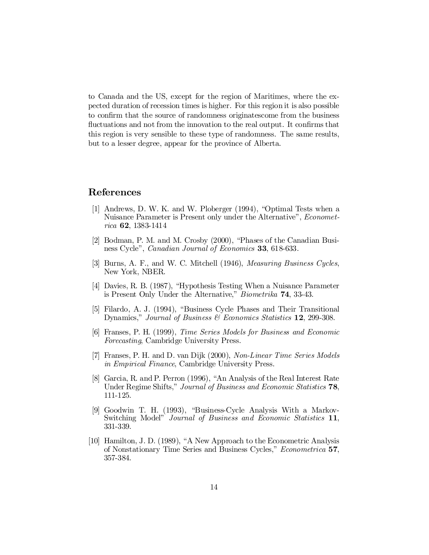to Canada and the US, except for the region of Maritimes, where the expected duration of recession times is higher. For this region it is also possible to confirm that the source of randomness originatescome from the business fluctuations and not from the innovation to the real output. It confirms that this region is very sensible to these type of randomness. The same results, but to a lesser degree, appear for the province of Alberta.

## References

- [1] Andrews, D. W. K. and W. Ploberger (1994), "Optimal Tests when a Nuisance Parameter is Present only under the Alternative", *Economet*rica 62, 1383-1414
- [2] Bodman, P. M. and M. Crosby (2000), "Phases of the Canadian Business Cycle", *Canadian Journal of Economics* **33**, 618-633.
- [3] Burns, A. F., and W. C. Mitchell (1946), Measuring Business Cycles, New York, NBER.
- [4] Davies, R. B. (1987), "Hypothesis Testing When a Nuisance Parameter is Present Only Under the Alternative," Biometrika 74, 33-43.
- [5] Filardo, A. J. (1994), "Business Cycle Phases and Their Transitional Dynamics," Journal of Business & Economics Statistics 12, 299-308.
- [6] Franses, P. H. (1999), Time Series Models for Business and Economic Forecasting, Cambridge University Press.
- [7] Franses, P. H. and D. van Dijk (2000), Non-Linear Time Series Models in Empirical Finance, Cambridge University Press.
- [8] Garcia, R. and P. Perron (1996), "An Analysis of the Real Interest Rate Under Regime Shifts," Journal of Business and Economic Statistics 78, 111-125.
- [9] Goodwin T. H. (1993), "Business-Cycle Analysis With a Markov-Switching Model" Journal of Business and Economic Statistics 11, 331-339.
- [10] Hamilton, J. D. (1989), "A New Approach to the Econometric Analysis of Nonstationary Time Series and Business Cycles," Econometrica 57, 357-384.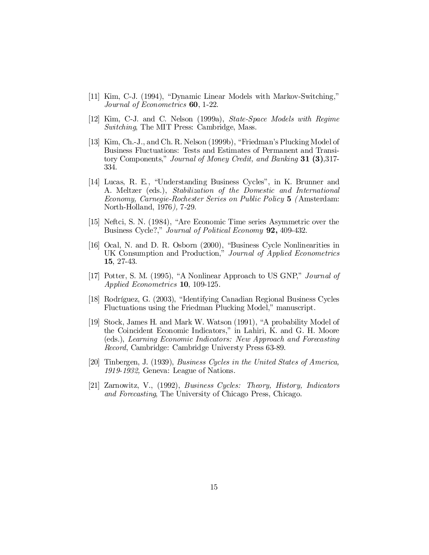- [11] Kim, C-J. (1994), "Dynamic Linear Models with Markov-Switching," Journal of Econometrics 60, 1-22.
- [12] Kim, C-J. and C. Nelson (1999a), State-Space Models with Regime Switching, The MIT Press: Cambridge, Mass.
- [13] Kim, Ch.-J., and Ch. R. Nelson (1999b), "Friedman's Plucking Model of Business Fluctuations: Tests and Estimates of Permanent and Transitory Components," Journal of Money Credit, and Banking 31 (3),317-334.
- [14] Lucas, R. E., "Understanding Business Cycles", in K. Brunner and A. Meltzer (eds.), Stabilization of the Domestic and International Economy, Carnegie-Rochester Series on Public Policy 5 (Amsterdam: North-Holland, 1976), 7-29.
- [15] Neftci, S. N. (1984), "Are Economic Time series Asymmetric over the Business Cycle?," Journal of Political Economy 92, 409-432.
- [16] Ocal, N. and D. R. Osborn (2000), "Business Cycle Nonlinearities in UK Consumption and Production," Journal of Applied Econometrics 15, 27-43.
- [17] Potter, S. M. (1995), "A Nonlinear Approach to US GNP," Journal of Applied Econometrics 10, 109-125.
- [18] Rodríguez, G. (2003), "Identifying Canadian Regional Business Cycles Fluctuations using the Friedman Plucking Model," manuscript.
- [19] Stock, James H. and Mark W. Watson (1991), "A probability Model of the Coincident Economic Indicators," in Lahiri, K. and G. H. Moore (eds.), Learning Economic Indicators: New Approach and Forecasting Record, Cambridge: Cambridge Universty Press 63-89.
- [20] Tinbergen, J. (1939), Business Cycles in the United States of America, 1919-1932, Geneva: League of Nations.
- [21] Zarnowitz, V., (1992), Business Cycles: Theory, History, Indicators and Forecasting, The University of Chicago Press, Chicago.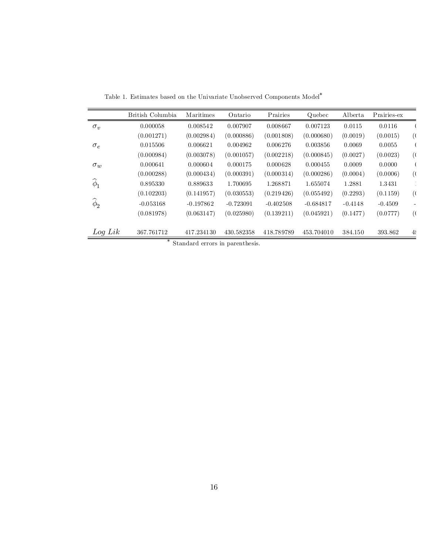|                    | British Columbia | Maritimes                       | Ontario     | Prairies    | Quebec      | Alberta   | Prairies-ex |               |
|--------------------|------------------|---------------------------------|-------------|-------------|-------------|-----------|-------------|---------------|
|                    |                  |                                 |             |             |             |           |             |               |
| $\sigma_v$         | 0.000058         | 0.008542                        | 0.007907    | 0.008667    | 0.007123    | 0.0115    | 0.0116      |               |
|                    | (0.001271)       | (0.002984)                      | (0.000886)  | (0.001808)  | (0.000680)  | (0.0019)  | (0.0015)    | (             |
| $\sigma_e$         | 0.015506         | 0.006621                        | 0.004962    | 0.006276    | 0.003856    | 0.0069    | 0.0055      |               |
|                    | (0.000984)       | (0.003078)                      | (0.001057)  | (0.002218)  | (0.000845)  | (0.0027)  | (0.0023)    | $\mathcal{L}$ |
| $\sigma_w$         | 0.000641         | 0.000604                        | 0.000175    | 0.000628    | 0.000455    | 0.0009    | 0.0000      |               |
|                    | (0.000288)       | (0.000434)                      | (0.000391)  | (0.000314)  | (0.000286)  | (0.0004)  | (0.0006)    | (             |
| $\widehat{\phi}_1$ | 0.895330         | 0.889633                        | 1.700695    | 1.268871    | 1.655074    | 1.2881    | 1.3431      |               |
|                    | (0.102203)       | (0.141957)                      | (0.030553)  | (0.219426)  | (0.055492)  | (0.2293)  | (0.1159)    | (             |
| $\phi_2$           | $-0.053168$      | $-0.197862$                     | $-0.723091$ | $-0.402508$ | $-0.684817$ | $-0.4148$ | $-0.4509$   |               |
|                    | (0.081978)       | (0.063147)                      | (0.025980)  | (0.139211)  | (0.045921)  | (0.1477)  | (0.0777)    | (             |
|                    |                  |                                 |             |             |             |           |             |               |
| $Log\, Lik$        | 367.761712       | 417.234130                      | 430.582358  | 418.789789  | 453.704010  | 384.150   | 393.862     | $4\ell$       |
|                    |                  | Standard errors in parenthesis. |             |             |             |           |             |               |

Table 1. Estimates based on the Univariate Unobserved Components Model<sup>\*</sup>

Standard errors in parenthesis.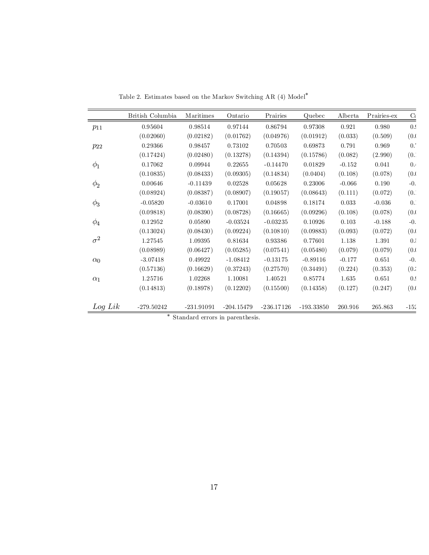|             | British Columbia | Maritimes    | Ontario      | Prairies     | Quebec       | Alberta  | Prairies-ex | $\mathrm{C}\varepsilon$ |
|-------------|------------------|--------------|--------------|--------------|--------------|----------|-------------|-------------------------|
| $p_{11}$    | 0.95604          | 0.98514      | 0.97144      | 0.86794      | 0.97308      | 0.921    | 0.980       | 0.9                     |
|             | (0.02060)        | (0.02182)    | (0.01762)    | (0.04976)    | (0.01912)    | (0.033)  | (0.509)     | (0.0)                   |
| $p_{22}$    | 0.29366          | 0.98457      | 0.73102      | 0.70503      | 0.69873      | 0.791    | 0.969       | 0.                      |
|             | (0.17424)        | (0.02480)    | (0.13278)    | (0.14394)    | (0.15786)    | (0.082)  | (2.990)     | (0.                     |
| $\phi_1$    | 0.17062          | 0.09944      | 0.22655      | $-0.14470$   | 0.01829      | $-0.152$ | 0.041       | 0.4                     |
|             | (0.10835)        | (0.08433)    | (0.09305)    | (0.14834)    | (0.0404)     | (0.108)  | (0.078)     | (0.0)                   |
| $\phi_2$    | 0.00646          | $-0.11439$   | 0.02528      | 0.05628      | 0.23006      | $-0.066$ | 0.190       | $-0.$                   |
|             | (0.08924)        | (0.08387)    | (0.08907)    | (0.19057)    | (0.08643)    | (0.111)  | (0.072)     | (0.1)                   |
| $\phi_3$    | $-0.05820$       | $-0.03610$   | 0.17001      | 0.04898      | 0.18174      | 0.033    | $-0.036$    | $0$ .                   |
|             | (0.09818)        | (0.08390)    | (0.08728)    | (0.16665)    | (0.09296)    | (0.108)  | (0.078)     | (0.0)                   |
| $\phi_4$    | 0.12952          | 0.05890      | $-0.03524$   | $-0.03235$   | 0.10926      | 0.103    | $-0.188$    | $-0$ .                  |
|             | (0.13024)        | (0.08430)    | (0.09224)    | (0.10810)    | (0.09883)    | (0.093)  | (0.072)     | (0.0)                   |
| $\sigma^2$  | 1.27545          | 1.09395      | 0.81634      | 0.93386      | 0.77601      | 1.138    | 1.391       | 0.5                     |
|             | (0.08989)        | (0.06427)    | (0.05285)    | (0.07541)    | (0.05480)    | (0.079)  | (0.079)     | (0.0)                   |
| $\alpha_0$  | $-3.07418$       | 0.49922      | $-1.08412$   | $-0.13175$   | $-0.89116$   | $-0.177$ | 0.651       | $-0.$                   |
|             | (0.57136)        | (0.16629)    | (0.37243)    | (0.27570)    | (0.34491)    | (0.224)  | (0.353)     | (0.5)                   |
| $\alpha_1$  | 1.25716          | 1.02268      | 1.10081      | 1.40521      | 0.85774      | 1.635    | 0.651       | 0.9                     |
|             | (0.14813)        | (0.18978)    | (0.12202)    | (0.15500)    | (0.14358)    | (0.127)  | (0.247)     | (0.0)                   |
| $Log\, Lik$ | $-279.50242$     | $-231.91091$ | $-204.15479$ | $-236.17126$ | $-193.33850$ | 260.916  | 265.863     | $-152$                  |

Table 2. Estimates based on the Markov Switching AR (4) Model<sup>\*</sup>

¤ Standard errors in parenthesis.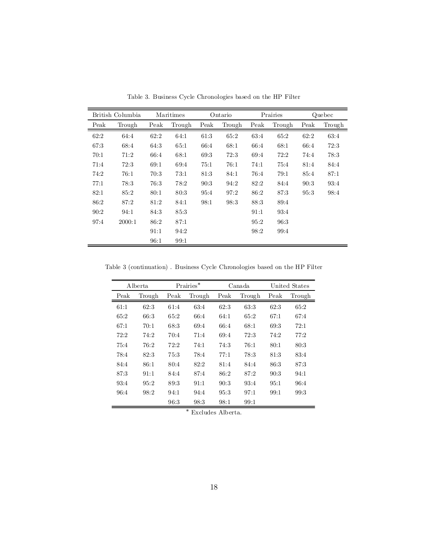|      | British Columbia |      | Maritimes |      | Ontario |      | Prairies |      | Quebec |
|------|------------------|------|-----------|------|---------|------|----------|------|--------|
| Peak | Trough           | Peak | Trough    | Peak | Trough  | Peak | Trough   | Peak | Trough |
| 62:2 | 64:4             | 62:2 | 64:1      | 61:3 | 65:2    | 63:4 | 65:2     | 62:2 | 63:4   |
| 67:3 | 68:4             | 64:3 | 65:1      | 66:4 | 68:1    | 66:4 | 68:1     | 66:4 | 72:3   |
| 70:1 | 71:2             | 66:4 | 68:1      | 69.3 | 72:3    | 69:4 | 72:2     | 74:4 | 78:3   |
| 71:4 | 72:3             | 69:1 | 69:4      | 75:1 | 76:1    | 74:1 | 75:4     | 81:4 | 84:4   |
| 74:2 | 76:1             | 70:3 | 73:1      | 81.3 | 84:1    | 76:4 | 79:1     | 85:4 | 87:1   |
| 77:1 | 78:3             | 76:3 | 78:2      | 90:3 | 94:2    | 82:2 | 84:4     | 90:3 | 93:4   |
| 82:1 | 85:2             | 80:1 | 80.3      | 95:4 | 97:2    | 86:2 | 87.3     | 95:3 | 98:4   |
| 86:2 | 87:2             | 81:2 | 84:1      | 98:1 | 98.3    | 88:3 | 89:4     |      |        |
| 90:2 | 94:1             | 84:3 | 85.3      |      |         | 91:1 | 93.4     |      |        |
| 97:4 | 2000:1           | 86:2 | 87:1      |      |         | 95:2 | 96:3     |      |        |
|      |                  | 91:1 | 94:2      |      |         | 98:2 | 99:4     |      |        |
|      |                  | 96:1 | 99:1      |      |         |      |          |      |        |

Table 3. Business Cycle Chronologies based on the HP Filter

Table 3 (continuation) . Business Cycle Chronologies based on the HP Filter

|      | A lberta |      | $Prairies*$ | Canada |        |      | United States |
|------|----------|------|-------------|--------|--------|------|---------------|
| Peak | Trough   | Peak | Trough      | Peak   | Trough | Peak | Trough        |
| 61:1 | 62:3     | 61:4 | 63:4        | 62:3   | 63.3   | 62:3 | 65:2          |
| 65:2 | 66:3     | 65:2 | 66:4        | 64:1   | 65:2   | 67:1 | 67:4          |
| 67:1 | 70:1     | 68:3 | 69.4        | 66:4   | 68:1   | 69.3 | 72:1          |
| 72:2 | 74:2     | 70:4 | 71:4        | 69:4   | 72:3   | 74:2 | 77:2          |
| 75:4 | 76:2     | 72:2 | 74:1        | 74:3   | 76:1   | 80:1 | 80:3          |
| 78:4 | 82:3     | 75:3 | 78:4        | 77:1   | 78:3   | 81:3 | 83:4          |
| 84:4 | 86:1     | 80:4 | 82:2        | 81:4   | 84:4   | 86:3 | 87:3          |
| 87:3 | 91:1     | 84:4 | 87:4        | 86:2   | 87:2   | 90:3 | 94:1          |
| 93.4 | 95:2     | 89:3 | 91:1        | 90:3   | 93:4   | 95:1 | 96:4          |
| 96:4 | 98:2     | 94:1 | 94:4        | 95:3   | 97:1   | 99:1 | 99.3          |
|      |          | 96:3 | 98.3        | 98:1   | 99:1   |      |               |

 $^\ast$  Excludes Alberta.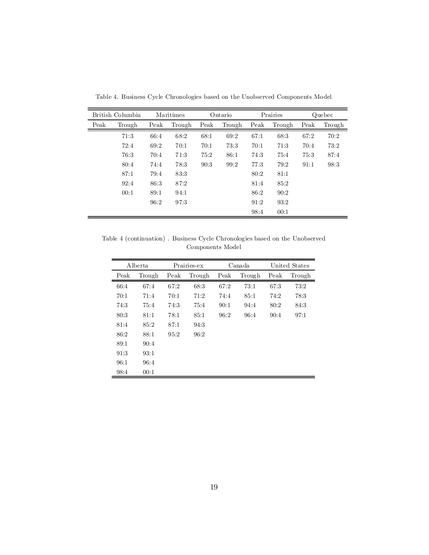|      | British Columbia |      | Maritimes | Ontario |        |      | Prairies |      | Quebec |
|------|------------------|------|-----------|---------|--------|------|----------|------|--------|
| Peak | Trough           | Peak | Trough    | Peak    | Trough | Peak | Trough   | Peak | Trough |
|      | 71:3             | 66:4 | 68:2      | 68:1    | 69:2   | 67:1 | 68:3     | 67:2 | 70:2   |
|      | 72:4             | 69:2 | 70:1      | 70:1    | 73:3   | 70:1 | 71:3     | 70:4 | 73:2   |
|      | 76:3             | 70:4 | 71:3      | 75:2    | 86:1   | 74:3 | 75:4     | 75:3 | 87:4   |
|      | 80:4             | 74:4 | 78:3      | 90:3    | 99:2   | 77:3 | 79:2     | 91:1 | 98:3   |
|      | 87:1             | 79:4 | 83:3      |         |        | 80:2 | 81:1     |      |        |
|      | 92:4             | 86:3 | 87:2      |         |        | 81:4 | 85:2     |      |        |
|      | 00:1             | 89:1 | 94:1      |         |        | 86:2 | 90:2     |      |        |
|      |                  | 96:2 | 97:3      |         |        | 91:2 | 93:2     |      |        |
|      |                  |      |           |         |        | 98:4 | 00:1     |      |        |

Table 4. Business Cycle Chronologies based on the Unobserved Components Model

Table 4 (continuation) . Business Cycle Chronologies based on the Unobserved Components Model

|      | Alberta |      | Prairies-ex | Canada |        |      | United States |
|------|---------|------|-------------|--------|--------|------|---------------|
| Peak | Trough  | Peak | Trough      | Peak   | Trough | Peak | Trough        |
| 66:4 | 67:4    | 67:2 | 68:3        | 67:2   | 73:1   | 67:3 | 73:2          |
| 70:1 | 71:4    | 70:1 | 71:2        | 74:4   | 85:1   | 74:2 | 78.3          |
| 74:3 | 75:4    | 74:3 | 75:4        | 90:1   | 94:4   | 80:2 | 84:3          |
| 80:3 | 81:1    | 78:1 | 85:1        | 96:2   | 96:4   | 90:4 | 97:1          |
| 81:4 | 85:2    | 87:1 | 94.3        |        |        |      |               |
| 86:2 | 88:1    | 95.2 | 96:2        |        |        |      |               |
| 89:1 | 90:4    |      |             |        |        |      |               |
| 91:3 | 93:1    |      |             |        |        |      |               |
| 96:1 | 96:4    |      |             |        |        |      |               |
| 98:4 | 00:1    |      |             |        |        |      |               |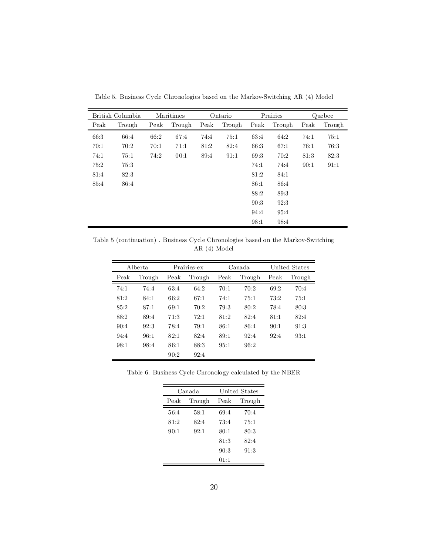|      | British Columbia |      | Maritimes | Ontario |        |      | Prairies |      | Quebec |
|------|------------------|------|-----------|---------|--------|------|----------|------|--------|
| Peak | Trough           | Peak | Trough    | Peak    | Trough | Peak | Trough   | Peak | Trough |
| 66:3 | 66:4             | 66:2 | 67:4      | 74:4    | 75:1   | 63.4 | 64:2     | 74:1 | 75:1   |
| 70:1 | 70:2             | 70:1 | 71:1      | 81:2    | 82:4   | 66:3 | 67:1     | 76:1 | 76:3   |
| 74:1 | 75:1             | 74:2 | 00:1      | 89:4    | 91:1   | 69:3 | 70:2     | 81:3 | 82:3   |
| 75:2 | 75:3             |      |           |         |        | 74:1 | 74:4     | 90:1 | 91:1   |
| 81:4 | 82:3             |      |           |         |        | 81:2 | 84:1     |      |        |
| 85:4 | 86:4             |      |           |         |        | 86:1 | 86:4     |      |        |
|      |                  |      |           |         |        | 88:2 | 89:3     |      |        |
|      |                  |      |           |         |        | 90:3 | 92:3     |      |        |
|      |                  |      |           |         |        | 94:4 | 95:4     |      |        |
|      |                  |      |           |         |        | 98:1 | 98:4     |      |        |

Table 5. Business Cycle Chronologies based on the Markov-Switching AR (4) Model

Table 5 (continuation) . Business Cycle Chronologies based on the Markov-Switching AR (4) Model

|      | A lberta | Prairies-ex |        |      | Canada | United States |        |  |
|------|----------|-------------|--------|------|--------|---------------|--------|--|
| Peak | Trough   | Peak        | Trough | Peak | Trough | Peak          | Trough |  |
| 74:1 | 74:4     | 63.4        | 64:2   | 70:1 | 70:2   | 69:2          | 70:4   |  |
| 81:2 | 84:1     | 66:2        | 67:1   | 74:1 | 75:1   | 73:2          | 75:1   |  |
| 85.2 | 87:1     | 69.1        | 70:2   | 79:3 | 80:2   | 78:4          | 80:3   |  |
| 88:2 | 89:4     | 71.3        | 72:1   | 81:2 | 82:4   | 81:1          | 82:4   |  |
| 90:4 | 92:3     | 78:4        | 79:1   | 86:1 | 86:4   | 90:1          | 91:3   |  |
| 94:4 | 96:1     | 82:1        | 82:4   | 89:1 | 92.4   | 92.4          | 93.1   |  |
| 98.1 | 98:4     | 86:1        | 88:3   | 95:1 | 96:2   |               |        |  |
|      |          | 90:2        | 92:4   |      |        |               |        |  |

Table 6. Business Cycle Chronology calculated by the NBER

|      | Canada | United States |        |  |  |  |
|------|--------|---------------|--------|--|--|--|
| Peak | Trough | Peak          | Trough |  |  |  |
| 56:4 | 58:1   | 69:4          | 70:4   |  |  |  |
| 81:2 | 82.4   | 73:4          | 75:1   |  |  |  |
| 90:1 | 92.1   | 80:1          | 80:3   |  |  |  |
|      |        | 81:3          | 82.4   |  |  |  |
|      |        | 90:3          | 91:3   |  |  |  |
|      |        | 01:1          |        |  |  |  |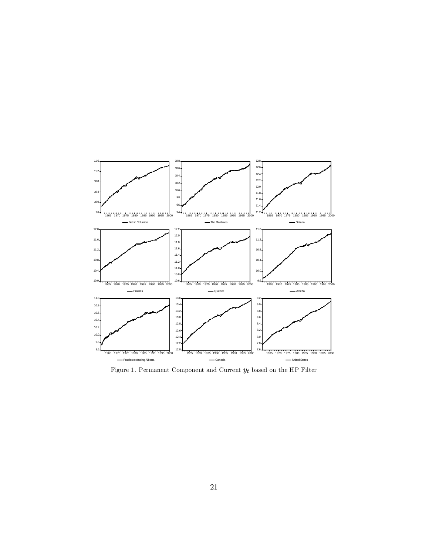

Figure 1. Permanent Component and Current  $y_t$  based on the HP Filter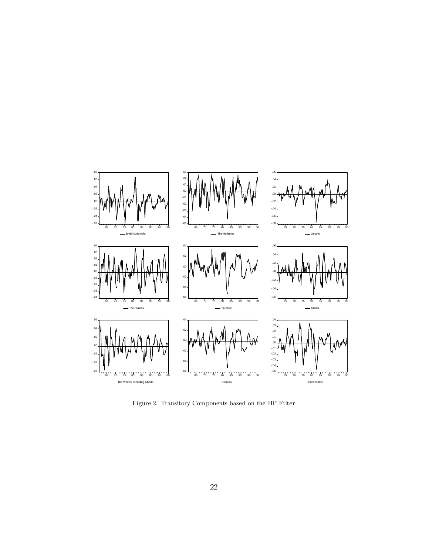

Figure 2. Transitory Components based on the HP Filter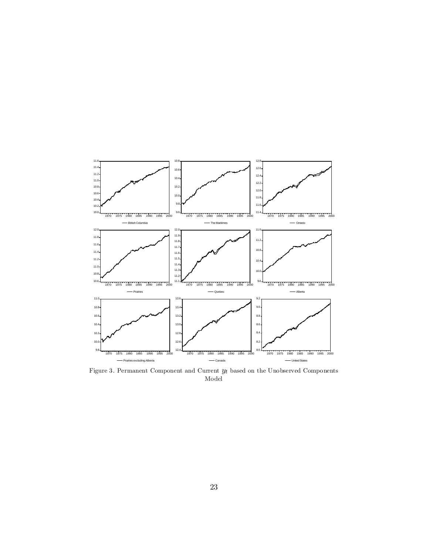

Figure 3. Permanent Component and Current  $y_t$  based on the Unobserved Components Model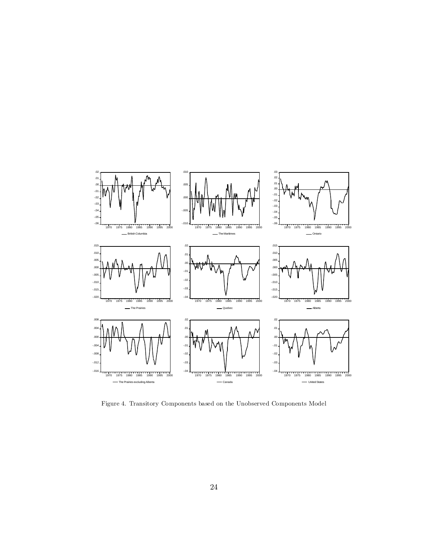

Figure 4. Transitory Components based on the Unobserved Components Model